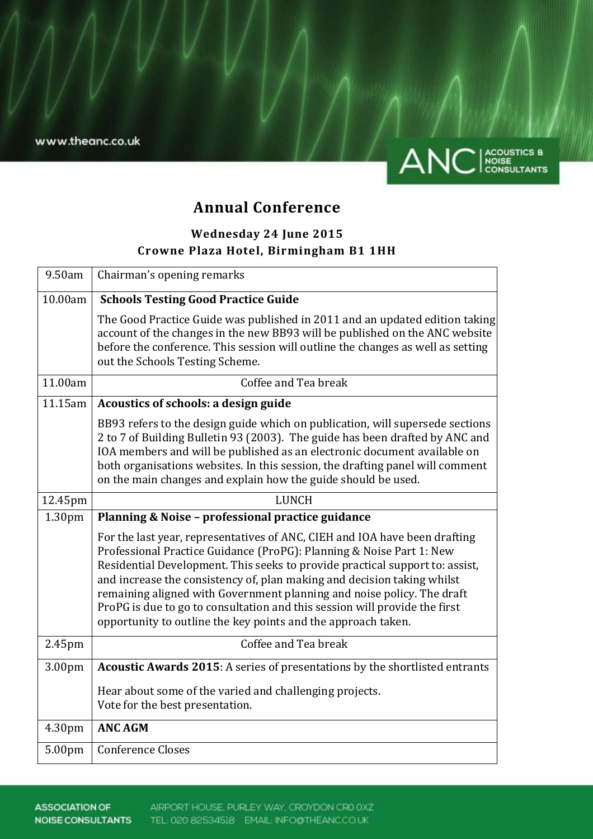

# **Annual Conference**

# **Wednesday 24 June 2015 Crowne Plaza Hotel, Birmingham B1 1HH**

| 9.50am             | Chairman's opening remarks                                                                                                                                                                                                                                                                                                                                                                                                                                                                                                             |
|--------------------|----------------------------------------------------------------------------------------------------------------------------------------------------------------------------------------------------------------------------------------------------------------------------------------------------------------------------------------------------------------------------------------------------------------------------------------------------------------------------------------------------------------------------------------|
| 10.00am            | <b>Schools Testing Good Practice Guide</b>                                                                                                                                                                                                                                                                                                                                                                                                                                                                                             |
|                    | The Good Practice Guide was published in 2011 and an updated edition taking<br>account of the changes in the new BB93 will be published on the ANC website<br>before the conference. This session will outline the changes as well as setting<br>out the Schools Testing Scheme.                                                                                                                                                                                                                                                       |
| 11.00am            | Coffee and Tea break                                                                                                                                                                                                                                                                                                                                                                                                                                                                                                                   |
| 11.15am            | Acoustics of schools: a design guide                                                                                                                                                                                                                                                                                                                                                                                                                                                                                                   |
|                    | BB93 refers to the design guide which on publication, will supersede sections<br>2 to 7 of Building Bulletin 93 (2003). The guide has been drafted by ANC and<br>IOA members and will be published as an electronic document available on<br>both organisations websites. In this session, the drafting panel will comment<br>on the main changes and explain how the guide should be used.                                                                                                                                            |
| 12.45pm            | <b>LUNCH</b>                                                                                                                                                                                                                                                                                                                                                                                                                                                                                                                           |
| 1.30 <sub>pm</sub> | Planning & Noise - professional practice guidance                                                                                                                                                                                                                                                                                                                                                                                                                                                                                      |
|                    | For the last year, representatives of ANC, CIEH and IOA have been drafting<br>Professional Practice Guidance (ProPG): Planning & Noise Part 1: New<br>Residential Development. This seeks to provide practical support to: assist,<br>and increase the consistency of, plan making and decision taking whilst<br>remaining aligned with Government planning and noise policy. The draft<br>ProPG is due to go to consultation and this session will provide the first<br>opportunity to outline the key points and the approach taken. |
| 2.45pm             | Coffee and Tea break                                                                                                                                                                                                                                                                                                                                                                                                                                                                                                                   |
| 3.00pm             | Acoustic Awards 2015: A series of presentations by the shortlisted entrants                                                                                                                                                                                                                                                                                                                                                                                                                                                            |
|                    | Hear about some of the varied and challenging projects.<br>Vote for the best presentation.                                                                                                                                                                                                                                                                                                                                                                                                                                             |
| 4.30pm             | <b>ANC AGM</b>                                                                                                                                                                                                                                                                                                                                                                                                                                                                                                                         |
| 5.00pm             | <b>Conference Closes</b>                                                                                                                                                                                                                                                                                                                                                                                                                                                                                                               |